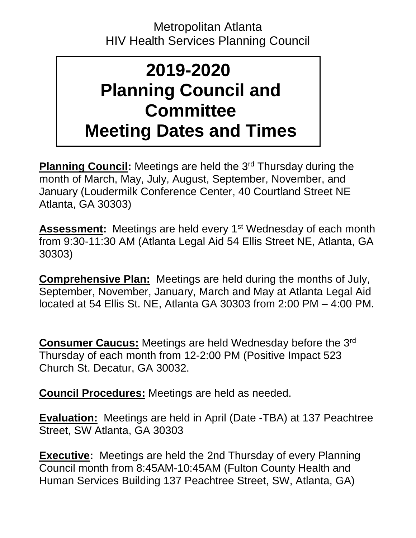## Metropolitan Atlanta HIV Health Services Planning Council

## **2019-2020 Planning Council and Committee Meeting Dates and Times**

**Planning Council:** Meetings are held the 3<sup>rd</sup> Thursday during the month of March, May, July, August, September, November, and January (Loudermilk Conference Center, 40 Courtland Street NE Atlanta, GA 30303)

**Assessment:** Meetings are held every 1<sup>st</sup> Wednesday of each month from 9:30-11:30 AM (Atlanta Legal Aid 54 Ellis Street NE, Atlanta, GA 30303)

**Comprehensive Plan:** Meetings are held during the months of July, September, November, January, March and May at Atlanta Legal Aid located at 54 Ellis St. NE, Atlanta GA 30303 from 2:00 PM – 4:00 PM.

**Consumer Caucus:** Meetings are held Wednesday before the 3rd Thursday of each month from 12-2:00 PM (Positive Impact 523 Church St. Decatur, GA 30032.

**Council Procedures:** Meetings are held as needed.

**Evaluation:** Meetings are held in April (Date -TBA) at 137 Peachtree Street, SW Atlanta, GA 30303

**Executive:** Meetings are held the 2nd Thursday of every Planning Council month from 8:45AM-10:45AM (Fulton County Health and Human Services Building 137 Peachtree Street, SW, Atlanta, GA)